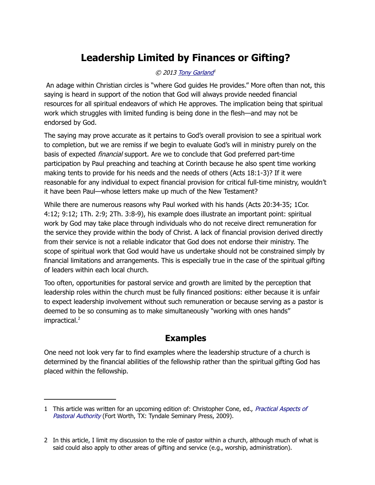# **Leadership Limited by Finances or Gifting?**

#### © 2013 [Tony Garland](http://www.spiritandtruth.org/id/tg.htm)<sup>1</sup>

 An adage within Christian circles is "where God guides He provides." More often than not, this saying is heard in support of the notion that God will always provide needed financial resources for all spiritual endeavors of which He approves. The implication being that spiritual work which struggles with limited funding is being done in the flesh—and may not be endorsed by God.

The saying may prove accurate as it pertains to God's overall provision to see a spiritual work to completion, but we are remiss if we begin to evaluate God's will in ministry purely on the basis of expected financial support. Are we to conclude that God preferred part-time participation by Paul preaching and teaching at Corinth because he also spent time working making tents to provide for his needs and the needs of others (Acts 18:1-3)? If it were reasonable for any individual to expect financial provision for critical full-time ministry, wouldn't it have been Paul—whose letters make up much of the New Testament?

While there are numerous reasons why Paul worked with his hands (Acts 20:34-35; 1Cor. 4:12; 9:12; 1Th. 2:9; 2Th. 3:8-9), his example does illustrate an important point: spiritual work by God may take place through individuals who do not receive direct remuneration for the service they provide within the body of Christ. A lack of financial provision derived directly from their service is not a reliable indicator that God does not endorse their ministry. The scope of spiritual work that God would have us undertake should not be constrained simply by financial limitations and arrangements. This is especially true in the case of the spiritual gifting of leaders within each local church.

Too often, opportunities for pastoral service and growth are limited by the perception that leadership roles within the church must be fully financed positions: either because it is unfair to expect leadership involvement without such remuneration or because serving as a pastor is deemed to be so consuming as to make simultaneously "working with ones hands" impractical.<sup>[2](#page-0-1)</sup>

# **Examples**

One need not look very far to find examples where the leadership structure of a church is determined by the financial abilities of the fellowship rather than the spiritual gifting God has placed within the fellowship.

<span id="page-0-0"></span><sup>1</sup> This article was written for an upcoming edition of: Christopher Cone, ed., [Practical Aspects of](http://www.spiritandtruth.org/id/isbn.htm?0981479154)  [Pastoral Authority](http://www.spiritandtruth.org/id/isbn.htm?0981479154) (Fort Worth, TX: Tyndale Seminary Press, 2009).

<span id="page-0-1"></span><sup>2</sup> In this article, I limit my discussion to the role of pastor within a church, although much of what is said could also apply to other areas of gifting and service (e.g., worship, administration).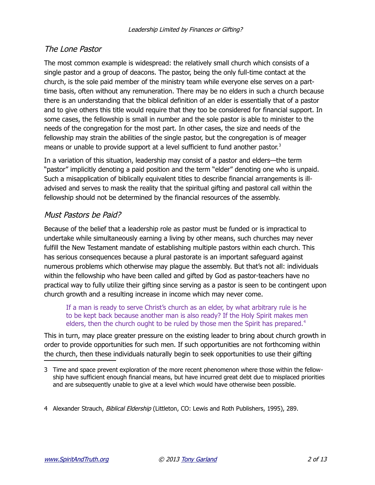# The Lone Pastor

The most common example is widespread: the relatively small church which consists of a single pastor and a group of deacons. The pastor, being the only full-time contact at the church, is the sole paid member of the ministry team while everyone else serves on a parttime basis, often without any remuneration. There may be no elders in such a church because there is an understanding that the biblical definition of an elder is essentially that of a pastor and to give others this title would require that they too be considered for financial support. In some cases, the fellowship is small in number and the sole pastor is able to minister to the needs of the congregation for the most part. In other cases, the size and needs of the fellowship may strain the abilities of the single pastor, but the congregation is of meager means or unable to provide support at a level sufficient to fund another pastor. $3$ 

In a variation of this situation, leadership may consist of a pastor and elders—the term "pastor" implicitly denoting a paid position and the term "elder" denoting one who is unpaid. Such a misapplication of biblically equivalent titles to describe financial arrangements is illadvised and serves to mask the reality that the spiritual gifting and pastoral call within the fellowship should not be determined by the financial resources of the assembly.

# Must Pastors be Paid?

Because of the belief that a leadership role as pastor must be funded or is impractical to undertake while simultaneously earning a living by other means, such churches may never fulfill the New Testament mandate of establishing multiple pastors within each church. This has serious consequences because a plural pastorate is an important safeguard against numerous problems which otherwise may plague the assembly. But that's not all: individuals within the fellowship who have been called and gifted by God as pastor-teachers have no practical way to fully utilize their gifting since serving as a pastor is seen to be contingent upon church growth and a resulting increase in income which may never come.

If a man is ready to serve Christ's church as an elder, by what arbitrary rule is he to be kept back because another man is also ready? If the Holy Spirit makes men elders, then the church ought to be ruled by those men the Spirit has prepared.<sup>[4](#page-1-1)</sup>

This in turn, may place greater pressure on the existing leader to bring about church growth in order to provide opportunities for such men. If such opportunities are not forthcoming within the church, then these individuals naturally begin to seek opportunities to use their gifting

<span id="page-1-0"></span><sup>3</sup> Time and space prevent exploration of the more recent phenomenon where those within the fellowship have sufficient enough financial means, but have incurred great debt due to misplaced priorities and are subsequently unable to give at a level which would have otherwise been possible.

<span id="page-1-1"></span><sup>4</sup> Alexander Strauch, Biblical Eldership (Littleton, CO: Lewis and Roth Publishers, 1995), 289.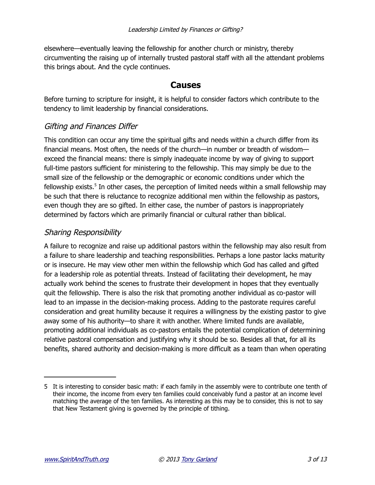elsewhere—eventually leaving the fellowship for another church or ministry, thereby circumventing the raising up of internally trusted pastoral staff with all the attendant problems this brings about. And the cycle continues.

## **Causes**

Before turning to scripture for insight, it is helpful to consider factors which contribute to the tendency to limit leadership by financial considerations.

# Gifting and Finances Differ

This condition can occur any time the spiritual gifts and needs within a church differ from its financial means. Most often, the needs of the church—in number or breadth of wisdom exceed the financial means: there is simply inadequate income by way of giving to support full-time pastors sufficient for ministering to the fellowship. This may simply be due to the small size of the fellowship or the demographic or economic conditions under which the fellowship exists.<sup>[5](#page-2-0)</sup> In other cases, the perception of limited needs within a small fellowship may be such that there is reluctance to recognize additional men within the fellowship as pastors, even though they are so gifted. In either case, the number of pastors is inappropriately determined by factors which are primarily financial or cultural rather than biblical.

# Sharing Responsibility

A failure to recognize and raise up additional pastors within the fellowship may also result from a failure to share leadership and teaching responsibilities. Perhaps a lone pastor lacks maturity or is insecure. He may view other men within the fellowship which God has called and gifted for a leadership role as potential threats. Instead of facilitating their development, he may actually work behind the scenes to frustrate their development in hopes that they eventually quit the fellowship. There is also the risk that promoting another individual as co-pastor will lead to an impasse in the decision-making process. Adding to the pastorate requires careful consideration and great humility because it requires a willingness by the existing pastor to give away some of his authority—to share it with another. Where limited funds are available, promoting additional individuals as co-pastors entails the potential complication of determining relative pastoral compensation and justifying why it should be so. Besides all that, for all its benefits, shared authority and decision-making is more difficult as a team than when operating

<span id="page-2-0"></span><sup>5</sup> It is interesting to consider basic math: if each family in the assembly were to contribute one tenth of their income, the income from every ten families could conceivably fund a pastor at an income level matching the average of the ten families. As interesting as this may be to consider, this is not to say that New Testament giving is governed by the principle of tithing.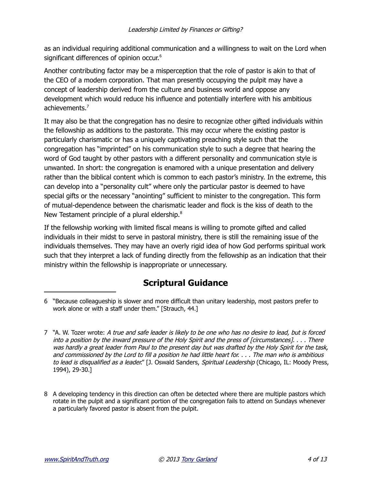as an individual requiring additional communication and a willingness to wait on the Lord when significant differences of opinion occur.<sup>[6](#page-3-0)</sup>

Another contributing factor may be a misperception that the role of pastor is akin to that of the CEO of a modern corporation. That man presently occupying the pulpit may have a concept of leadership derived from the culture and business world and oppose any development which would reduce his influence and potentially interfere with his ambitious achievements.[7](#page-3-1)

It may also be that the congregation has no desire to recognize other gifted individuals within the fellowship as additions to the pastorate. This may occur where the existing pastor is particularly charismatic or has a uniquely captivating preaching style such that the congregation has "imprinted" on his communication style to such a degree that hearing the word of God taught by other pastors with a different personality and communication style is unwanted. In short: the congregation is enamored with a unique presentation and delivery rather than the biblical content which is common to each pastor's ministry. In the extreme, this can develop into a "personality cult" where only the particular pastor is deemed to have special gifts or the necessary "anointing" sufficient to minister to the congregation. This form of mutual-dependence between the charismatic leader and flock is the kiss of death to the New Testament principle of a plural eldership.<sup>[8](#page-3-2)</sup>

If the fellowship working with limited fiscal means is willing to promote gifted and called individuals in their midst to serve in pastoral ministry, there is still the remaining issue of the individuals themselves. They may have an overly rigid idea of how God performs spiritual work such that they interpret a lack of funding directly from the fellowship as an indication that their ministry within the fellowship is inappropriate or unnecessary.

# **Scriptural Guidance**

<span id="page-3-0"></span><sup>6 &</sup>quot;Because colleagueship is slower and more difficult than unitary leadership, most pastors prefer to work alone or with a staff under them." [Strauch, 44.]

<span id="page-3-1"></span><sup>7 &</sup>quot;A. W. Tozer wrote: A true and safe leader is likely to be one who has no desire to lead, but is forced into a position by the inward pressure of the Holy Spirit and the press of [circumstances]. . . . There was hardly a great leader from Paul to the present day but was drafted by the Holy Spirit for the task, and commissioned by the Lord to fill a position he had little heart for. . . . The man who is ambitious to lead is disqualified as a leader." [J. Oswald Sanders, Spiritual Leadership (Chicago, IL: Moody Press, 1994), 29-30.]

<span id="page-3-2"></span><sup>8</sup> A developing tendency in this direction can often be detected where there are multiple pastors which rotate in the pulpit and a significant portion of the congregation fails to attend on Sundays whenever a particularly favored pastor is absent from the pulpit.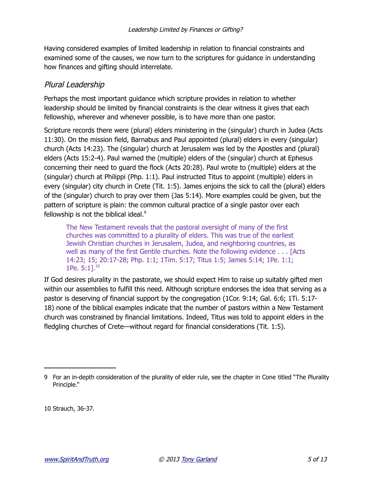Having considered examples of limited leadership in relation to financial constraints and examined some of the causes, we now turn to the scriptures for guidance in understanding how finances and gifting should interrelate.

#### Plural Leadership

Perhaps the most important guidance which scripture provides in relation to whether leadership should be limited by financial constraints is the clear witness it gives that each fellowship, wherever and whenever possible, is to have more than one pastor.

Scripture records there were (plural) elders ministering in the (singular) church in Judea (Acts 11:30). On the mission field, Barnabus and Paul appointed (plural) elders in every (singular) church (Acts 14:23). The (singular) church at Jerusalem was led by the Apostles and (plural) elders (Acts 15:2-4). Paul warned the (multiple) elders of the (singular) church at Ephesus concerning their need to guard the flock (Acts 20:28). Paul wrote to (multiple) elders at the (singular) church at Philippi (Php. 1:1). Paul instructed Titus to appoint (multiple) elders in every (singular) city church in Crete (Tit. 1:5). James enjoins the sick to call the (plural) elders of the (singular) church to pray over them (Jas 5:14). More examples could be given, but the pattern of scripture is plain: the common cultural practice of a single pastor over each fellowship is not the biblical ideal. $9$ 

The New Testament reveals that the pastoral oversight of many of the first churches was committed to a plurality of elders. This was true of the earliest Jewish Christian churches in Jerusalem, Judea, and neighboring countries, as well as many of the first Gentile churches. Note the following evidence . . . [Acts 14:23; 15; 20:17-28; Php. 1:1; 1Tim. 5:17; Titus 1:5; James 5:14; 1Pe. 1:1; 1Pe.  $5:11^{10}$  $5:11^{10}$  $5:11^{10}$ 

If God desires plurality in the pastorate, we should expect Him to raise up suitably gifted men within our assemblies to fulfill this need. Although scripture endorses the idea that serving as a pastor is deserving of financial support by the congregation (1Cor. 9:14; Gal. 6:6; 1Ti. 5:17- 18) none of the biblical examples indicate that the number of pastors within a New Testament church was constrained by financial limitations. Indeed, Titus was told to appoint elders in the fledgling churches of Crete—without regard for financial considerations (Tit. 1:5).

<span id="page-4-1"></span>10 Strauch, 36-37.

<span id="page-4-0"></span><sup>9</sup> For an in-depth consideration of the plurality of elder rule, see the chapter in Cone titled "The Plurality Principle."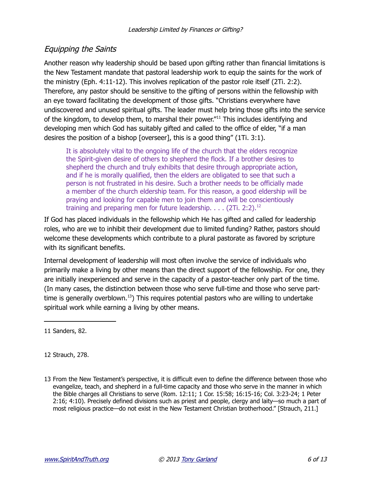# Equipping the Saints

Another reason why leadership should be based upon gifting rather than financial limitations is the New Testament mandate that pastoral leadership work to equip the saints for the work of the ministry (Eph. 4:11-12). This involves replication of the pastor role itself (2Ti. 2:2). Therefore, any pastor should be sensitive to the gifting of persons within the fellowship with an eye toward facilitating the development of those gifts. "Christians everywhere have undiscovered and unused spiritual gifts. The leader must help bring those gifts into the service of the kingdom, to develop them, to marshal their power."<sup>[11](#page-5-0)</sup> This includes identifying and developing men which God has suitably gifted and called to the office of elder, "if a man desires the position of a bishop [overseer], this is a good thing" (1Ti. 3:1).

It is absolutely vital to the ongoing life of the church that the elders recognize the Spirit-given desire of others to shepherd the flock. If a brother desires to shepherd the church and truly exhibits that desire through appropriate action, and if he is morally qualified, then the elders are obligated to see that such a person is not frustrated in his desire. Such a brother needs to be officially made a member of the church eldership team. For this reason, a good eldership will be praying and looking for capable men to join them and will be conscientiously training and preparing men for future leadership.  $\ldots$  (2Ti. 2:2).<sup>[12](#page-5-1)</sup>

If God has placed individuals in the fellowship which He has gifted and called for leadership roles, who are we to inhibit their development due to limited funding? Rather, pastors should welcome these developments which contribute to a plural pastorate as favored by scripture with its significant benefits.

Internal development of leadership will most often involve the service of individuals who primarily make a living by other means than the direct support of the fellowship. For one, they are initially inexperienced and serve in the capacity of a pastor-teacher only part of the time. (In many cases, the distinction between those who serve full-time and those who serve part-time is generally overblown.<sup>[13](#page-5-2)</sup>) This requires potential pastors who are willing to undertake spiritual work while earning a living by other means.

<span id="page-5-0"></span>11 Sanders, 82.

<span id="page-5-1"></span>12 Strauch, 278.

<span id="page-5-2"></span>13 From the New Testament's perspective, it is difficult even to define the difference between those who evangelize, teach, and shepherd in a full-time capacity and those who serve in the manner in which the Bible charges all Christians to serve (Rom. 12:11; 1 Cor. 15:58; 16:15-16; Col. 3:23-24; 1 Peter 2:16; 4:10). Precisely defined divisions such as priest and people, clergy and laity—so much a part of most religious practice—do not exist in the New Testament Christian brotherhood." [Strauch, 211.]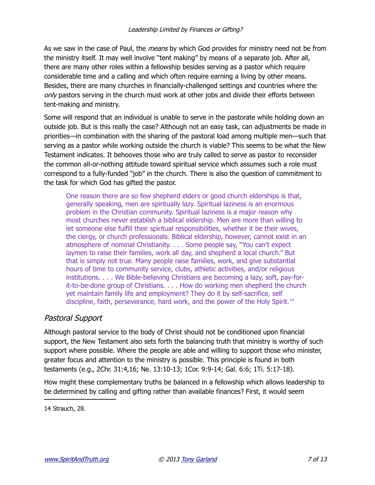As we saw in the case of Paul, the *means* by which God provides for ministry need not be from the ministry itself. It may well involve "tent making" by means of a separate job. After all, there are many other roles within a fellowship besides serving as a pastor which require considerable time and a calling and which often require earning a living by other means. Besides, there are many churches in financially-challenged settings and countries where the only pastors serving in the church must work at other jobs and divide their efforts between tent-making and ministry.

Some will respond that an individual is unable to serve in the pastorate while holding down an outside job. But is this really the case? Although not an easy task, can adjustments be made in priorities—in combination with the sharing of the pastoral load among multiple men—such that serving as a pastor while working outside the church is viable? This seems to be what the New Testament indicates. It behooves those who are truly called to serve as pastor to reconsider the common all-or-nothing attitude toward spiritual service which assumes such a role must correspond to a fully-funded "job" in the church. There is also the question of commitment to the task for which God has gifted the pastor.

One reason there are so few shepherd elders or good church elderships is that, generally speaking, men are spiritually lazy. Spiritual laziness is an enormous problem in the Christian community. Spiritual laziness is a major reason why most churches never establish a biblical eldership. Men are more than willing to let someone else fulfill their spiritual responsibilities, whether it be their wives, the clergy, or church professionals. Biblical eldership, however, cannot exist in an atmosphere of nominal Christianity. . . . Some people say, "You can't expect laymen to raise their families, work all day, and shepherd a local church." But that is simply not true. Many people raise families, work, and give substantial hours of time to community service, clubs, athletic activities, and/or religious institutions. . . . We Bible-believing Christians are becoming a lazy, soft, pay-forit-to-be-done group of Christians. . . . How do working men shepherd the church yet maintain family life and employment? They do it by self-sacrifice, self discipline, faith, perseverance, hard work, and the power of the Holy Spirit.<sup>[14](#page-6-0)</sup>

# Pastoral Support

Although pastoral service to the body of Christ should not be conditioned upon financial support, the New Testament also sets forth the balancing truth that ministry is worthy of such support where possible. Where the people are able and willing to support those who minister, greater focus and attention to the ministry is possible. This principle is found in both testaments (e.g., 2Chr. 31:4,16; Ne. 13:10-13; 1Cor. 9:9-14; Gal. 6:6; 1Ti. 5:17-18).

How might these complementary truths be balanced in a fellowship which allows leadership to be determined by calling and gifting rather than available finances? First, it would seem

<span id="page-6-0"></span>14 Strauch, 28.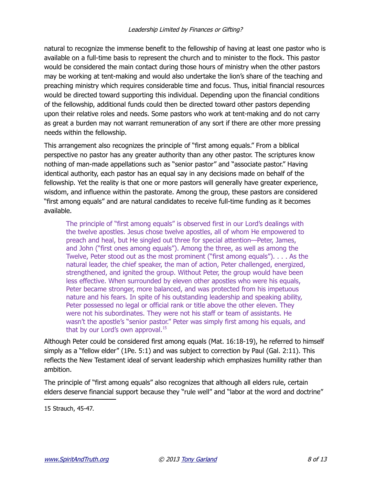natural to recognize the immense benefit to the fellowship of having at least one pastor who is available on a full-time basis to represent the church and to minister to the flock. This pastor would be considered the main contact during those hours of ministry when the other pastors may be working at tent-making and would also undertake the lion's share of the teaching and preaching ministry which requires considerable time and focus. Thus, initial financial resources would be directed toward supporting this individual. Depending upon the financial conditions of the fellowship, additional funds could then be directed toward other pastors depending upon their relative roles and needs. Some pastors who work at tent-making and do not carry as great a burden may not warrant remuneration of any sort if there are other more pressing needs within the fellowship.

This arrangement also recognizes the principle of "first among equals." From a biblical perspective no pastor has any greater authority than any other pastor. The scriptures know nothing of man-made appellations such as "senior pastor" and "associate pastor." Having identical authority, each pastor has an equal say in any decisions made on behalf of the fellowship. Yet the reality is that one or more pastors will generally have greater experience, wisdom, and influence within the pastorate. Among the group, these pastors are considered "first among equals" and are natural candidates to receive full-time funding as it becomes available.

The principle of "first among equals" is observed first in our Lord's dealings with the twelve apostles. Jesus chose twelve apostles, all of whom He empowered to preach and heal, but He singled out three for special attention—Peter, James, and John ("first ones among equals"). Among the three, as well as among the Twelve, Peter stood out as the most prominent ("first among equals"). . . . As the natural leader, the chief speaker, the man of action, Peter challenged, energized, strengthened, and ignited the group. Without Peter, the group would have been less effective. When surrounded by eleven other apostles who were his equals, Peter became stronger, more balanced, and was protected from his impetuous nature and his fears. In spite of his outstanding leadership and speaking ability, Peter possessed no legal or official rank or title above the other eleven. They were not his subordinates. They were not his staff or team of assistants. He wasn't the apostle's "senior pastor." Peter was simply first among his equals, and that by our Lord's own approval.<sup>[15](#page-7-0)</sup>

Although Peter could be considered first among equals (Mat. 16:18-19), he referred to himself simply as a "fellow elder" (1Pe. 5:1) and was subject to correction by Paul (Gal. 2:11). This reflects the New Testament ideal of servant leadership which emphasizes humility rather than ambition.

The principle of "first among equals" also recognizes that although all elders rule, certain elders deserve financial support because they "rule well" and "labor at the word and doctrine"

<span id="page-7-0"></span><sup>15</sup> Strauch, 45-47.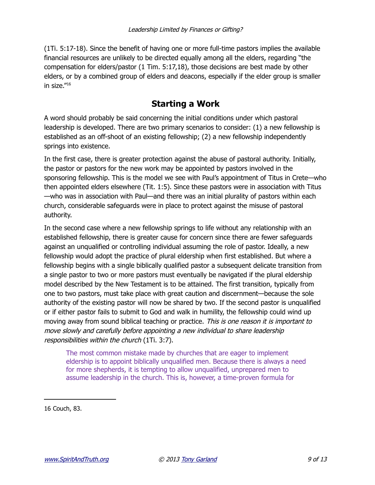(1Ti. 5:17-18). Since the benefit of having one or more full-time pastors implies the available financial resources are unlikely to be directed equally among all the elders, regarding "the compensation for elders/pastor (1 Tim. 5:17,18), those decisions are best made by other elders, or by a combined group of elders and deacons, especially if the elder group is smaller in size."[16](#page-8-0)

# **Starting a Work**

A word should probably be said concerning the initial conditions under which pastoral leadership is developed. There are two primary scenarios to consider: (1) a new fellowship is established as an off-shoot of an existing fellowship; (2) a new fellowship independently springs into existence.

In the first case, there is greater protection against the abuse of pastoral authority. Initially, the pastor or pastors for the new work may be appointed by pastors involved in the sponsoring fellowship. This is the model we see with Paul's appointment of Titus in Crete—who then appointed elders elsewhere (Tit. 1:5). Since these pastors were in association with Titus —who was in association with Paul—and there was an initial plurality of pastors within each church, considerable safeguards were in place to protect against the misuse of pastoral authority.

In the second case where a new fellowship springs to life without any relationship with an established fellowship, there is greater cause for concern since there are fewer safeguards against an unqualified or controlling individual assuming the role of pastor. Ideally, a new fellowship would adopt the practice of plural eldership when first established. But where a fellowship begins with a single biblically qualified pastor a subsequent delicate transition from a single pastor to two or more pastors must eventually be navigated if the plural eldership model described by the New Testament is to be attained. The first transition, typically from one to two pastors, must take place with great caution and discernment—because the sole authority of the existing pastor will now be shared by two. If the second pastor is unqualified or if either pastor fails to submit to God and walk in humility, the fellowship could wind up moving away from sound biblical teaching or practice. This is one reason it is important to move slowly and carefully before appointing a new individual to share leadership responsibilities within the church (1Ti. 3:7).

The most common mistake made by churches that are eager to implement eldership is to appoint biblically unqualified men. Because there is always a need for more shepherds, it is tempting to allow unqualified, unprepared men to assume leadership in the church. This is, however, a time-proven formula for

<span id="page-8-0"></span>16 Couch, 83.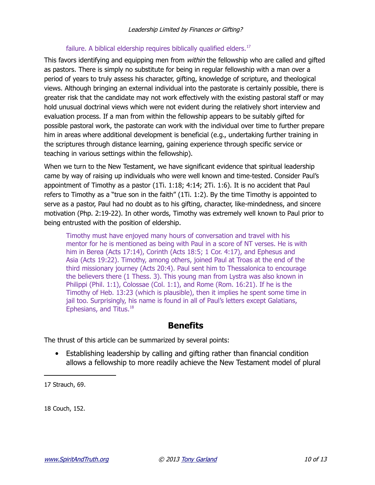#### failure. A biblical eldership requires biblically qualified elders.<sup>[17](#page-9-0)</sup>

This favors identifying and equipping men from within the fellowship who are called and gifted as pastors. There is simply no substitute for being in regular fellowship with a man over a period of years to truly assess his character, gifting, knowledge of scripture, and theological views. Although bringing an external individual into the pastorate is certainly possible, there is greater risk that the candidate may not work effectively with the existing pastoral staff or may hold unusual doctrinal views which were not evident during the relatively short interview and evaluation process. If a man from within the fellowship appears to be suitably gifted for possible pastoral work, the pastorate can work with the individual over time to further prepare him in areas where additional development is beneficial (e.g., undertaking further training in the scriptures through distance learning, gaining experience through specific service or teaching in various settings within the fellowship).

When we turn to the New Testament, we have significant evidence that spiritual leadership came by way of raising up individuals who were well known and time-tested. Consider Paul's appointment of Timothy as a pastor (1Ti. 1:18; 4:14; 2Ti. 1:6). It is no accident that Paul refers to Timothy as a "true son in the faith" (1Ti. 1:2). By the time Timothy is appointed to serve as a pastor, Paul had no doubt as to his gifting, character, like-mindedness, and sincere motivation (Php. 2:19-22). In other words, Timothy was extremely well known to Paul prior to being entrusted with the position of eldership.

Timothy must have enjoyed many hours of conversation and travel with his mentor for he is mentioned as being with Paul in a score of NT verses. He is with him in Berea (Acts 17:14), Corinth (Acts 18:5; 1 Cor. 4:17), and Ephesus and Asia (Acts 19:22). Timothy, among others, joined Paul at Troas at the end of the third missionary journey (Acts 20:4). Paul sent him to Thessalonica to encourage the believers there (1 Thess. 3). This young man from Lystra was also known in Philippi (Phil. 1:1), Colossae (Col. 1:1), and Rome (Rom. 16:21). If he is the Timothy of Heb. 13:23 (which is plausible), then it implies he spent some time in jail too. Surprisingly, his name is found in all of Paul's letters except Galatians, Ephesians, and Titus.[18](#page-9-1)

# **Benefits**

The thrust of this article can be summarized by several points:

• Establishing leadership by calling and gifting rather than financial condition allows a fellowship to more readily achieve the New Testament model of plural

<span id="page-9-0"></span>17 Strauch, 69.

<span id="page-9-1"></span>18 Couch, 152.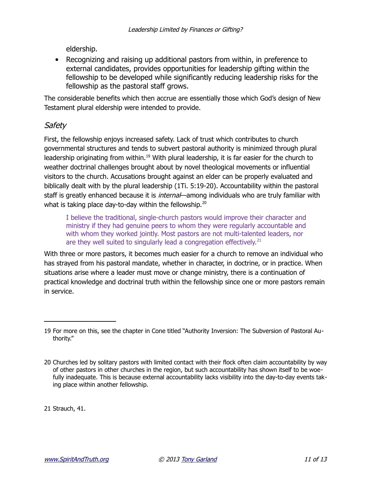eldership.

• Recognizing and raising up additional pastors from within, in preference to external candidates, provides opportunities for leadership gifting within the fellowship to be developed while significantly reducing leadership risks for the fellowship as the pastoral staff grows.

The considerable benefits which then accrue are essentially those which God's design of New Testament plural eldership were intended to provide.

# **Safety**

First, the fellowship enjoys increased safety. Lack of trust which contributes to church governmental structures and tends to subvert pastoral authority is minimized through plural leadership originating from within.<sup>[19](#page-10-0)</sup> With plural leadership, it is far easier for the church to weather doctrinal challenges brought about by novel theological movements or influential visitors to the church. Accusations brought against an elder can be properly evaluated and biblically dealt with by the plural leadership (1Ti. 5:19-20). Accountability within the pastoral staff is greatly enhanced because it is *internal*—among individuals who are truly familiar with what is taking place day-to-day within the fellowship.<sup>[20](#page-10-1)</sup>

I believe the traditional, single-church pastors would improve their character and ministry if they had genuine peers to whom they were regularly accountable and with whom they worked jointly. Most pastors are not multi-talented leaders, nor are they well suited to singularly lead a congregation effectively. $^{21}$  $^{21}$  $^{21}$ 

With three or more pastors, it becomes much easier for a church to remove an individual who has strayed from his pastoral mandate, whether in character, in doctrine, or in practice. When situations arise where a leader must move or change ministry, there is a continuation of practical knowledge and doctrinal truth within the fellowship since one or more pastors remain in service.

<span id="page-10-2"></span>21 Strauch, 41.

<span id="page-10-0"></span><sup>19</sup> For more on this, see the chapter in Cone titled "Authority Inversion: The Subversion of Pastoral Authority."

<span id="page-10-1"></span><sup>20</sup> Churches led by solitary pastors with limited contact with their flock often claim accountability by way of other pastors in other churches in the region, but such accountability has shown itself to be woefully inadequate. This is because external accountability lacks visibility into the day-to-day events taking place within another fellowship.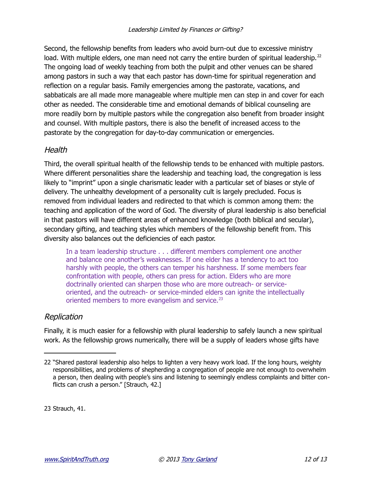Second, the fellowship benefits from leaders who avoid burn-out due to excessive ministry load. With multiple elders, one man need not carry the entire burden of spiritual leadership.<sup>[22](#page-11-0)</sup> The ongoing load of weekly teaching from both the pulpit and other venues can be shared among pastors in such a way that each pastor has down-time for spiritual regeneration and reflection on a regular basis. Family emergencies among the pastorate, vacations, and sabbaticals are all made more manageable where multiple men can step in and cover for each other as needed. The considerable time and emotional demands of biblical counseling are more readily born by multiple pastors while the congregation also benefit from broader insight and counsel. With multiple pastors, there is also the benefit of increased access to the pastorate by the congregation for day-to-day communication or emergencies.

#### **Health**

Third, the overall spiritual health of the fellowship tends to be enhanced with multiple pastors. Where different personalities share the leadership and teaching load, the congregation is less likely to "imprint" upon a single charismatic leader with a particular set of biases or style of delivery. The unhealthy development of a personality cult is largely precluded. Focus is removed from individual leaders and redirected to that which is common among them: the teaching and application of the word of God. The diversity of plural leadership is also beneficial in that pastors will have different areas of enhanced knowledge (both biblical and secular), secondary gifting, and teaching styles which members of the fellowship benefit from. This diversity also balances out the deficiencies of each pastor.

In a team leadership structure . . . different members complement one another and balance one another's weaknesses. If one elder has a tendency to act too harshly with people, the others can temper his harshness. If some members fear confrontation with people, others can press for action. Elders who are more doctrinally oriented can sharpen those who are more outreach- or serviceoriented, and the outreach- or service-minded elders can ignite the intellectually oriented members to more evangelism and service.<sup>[23](#page-11-1)</sup>

#### Replication

Finally, it is much easier for a fellowship with plural leadership to safely launch a new spiritual work. As the fellowship grows numerically, there will be a supply of leaders whose gifts have

<span id="page-11-1"></span>23 Strauch, 41.

<span id="page-11-0"></span><sup>22 &</sup>quot;Shared pastoral leadership also helps to lighten a very heavy work load. If the long hours, weighty responsibilities, and problems of shepherding a congregation of people are not enough to overwhelm a person, then dealing with people's sins and listening to seemingly endless complaints and bitter conflicts can crush a person." [Strauch, 42.]